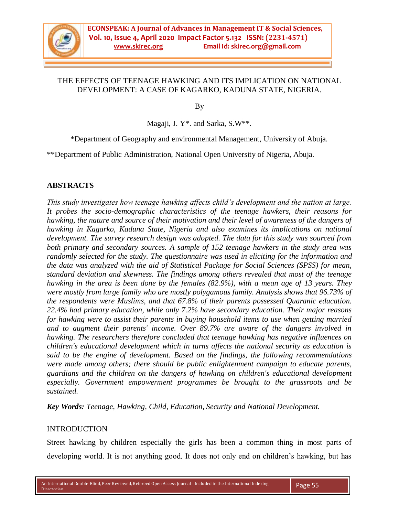

## THE EFFECTS OF TEENAGE HAWKING AND ITS IMPLICATION ON NATIONAL DEVELOPMENT: A CASE OF KAGARKO, KADUNA STATE, NIGERIA.

By

Magaji, J. Y\*. and Sarka, S.W\*\*.

\*Department of Geography and environmental Management, University of Abuja.

\*\*Department of Public Administration, National Open University of Nigeria, Abuja.

# **ABSTRACTS**

*This study investigates how teenage hawking affects child's development and the nation at large. It probes the socio-demographic characteristics of the teenage hawkers, their reasons for hawking, the nature and source of their motivation and their level of awareness of the dangers of hawking in Kagarko, Kaduna State, Nigeria and also examines its implications on national development. The survey research design was adopted. The data for this study was sourced from both primary and secondary sources. A sample of 152 teenage hawkers in the study area was randomly selected for the study. The questionnaire was used in eliciting for the information and the data was analyzed with the aid of Statistical Package for Social Sciences (SPSS) for mean, standard deviation and skewness. The findings among others revealed that most of the teenage hawking in the area is been done by the females (82.9%), with a mean age of 13 years. They were mostly from large family who are mostly polygamous family. Analysis shows that 96.73% of the respondents were Muslims, and that 67.8% of their parents possessed Quaranic education. 22.4% had primary education, while only 7.2% have secondary education. Their major reasons for hawking were to assist their parents in buying household items to use when getting married and to augment their parents' income. Over 89.7% are aware of the dangers involved in hawking. The researchers therefore concluded that teenage hawking has negative influences on children's educational development which in turns affects the national security as education is said to be the engine of development. Based on the findings, the following recommendations were made among others; there should be public enlightenment campaign to educate parents, guardians and the children on the dangers of hawking on children's educational development especially. Government empowerment programmes be brought to the grassroots and be sustained.*

*Key Words: Teenage, Hawking, Child, Education, Security and National Development.*

# INTRODUCTION

Street hawking by children especially the girls has been a common thing in most parts of developing world. It is not anything good. It does not only end on children's hawking, but has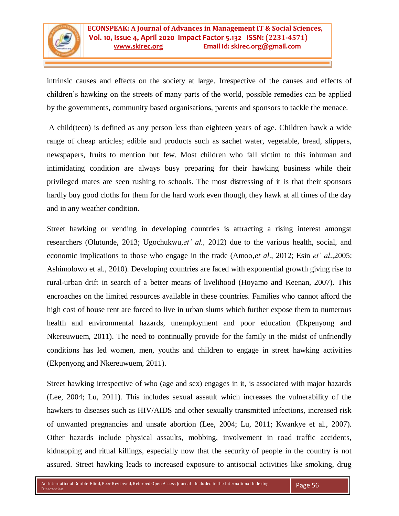

intrinsic causes and effects on the society at large. Irrespective of the causes and effects of children"s hawking on the streets of many parts of the world, possible remedies can be applied by the governments, community based organisations, parents and sponsors to tackle the menace.

A child(teen) is defined as any person less than eighteen years of age. Children hawk a wide range of cheap articles; edible and products such as sachet water, vegetable, bread, slippers, newspapers, fruits to mention but few. Most children who fall victim to this inhuman and intimidating condition are always busy preparing for their hawking business while their privileged mates are seen rushing to schools. The most distressing of it is that their sponsors hardly buy good cloths for them for the hard work even though, they hawk at all times of the day and in any weather condition.

Street hawking or vending in developing countries is attracting a rising interest amongst researchers (Olutunde, 2013; Ugochukwu,*et' al.,* 2012) due to the various health, social, and economic implications to those who engage in the trade (Amoo,*et al*., 2012; Esin *et' al*.,2005; Ashimolowo et al., 2010). Developing countries are faced with exponential growth giving rise to rural-urban drift in search of a better means of livelihood (Hoyamo and Keenan, 2007). This encroaches on the limited resources available in these countries. Families who cannot afford the high cost of house rent are forced to live in urban slums which further expose them to numerous health and environmental hazards, unemployment and poor education (Ekpenyong and Nkereuwuem, 2011). The need to continually provide for the family in the midst of unfriendly conditions has led women, men, youths and children to engage in street hawking activities (Ekpenyong and Nkereuwuem, 2011).

Street hawking irrespective of who (age and sex) engages in it, is associated with major hazards (Lee, 2004; Lu, 2011). This includes sexual assault which increases the vulnerability of the hawkers to diseases such as HIV/AIDS and other sexually transmitted infections, increased risk of unwanted pregnancies and unsafe abortion (Lee, 2004; Lu, 2011; Kwankye et al., 2007). Other hazards include physical assaults, mobbing, involvement in road traffic accidents, kidnapping and ritual killings, especially now that the security of people in the country is not assured. Street hawking leads to increased exposure to antisocial activities like smoking, drug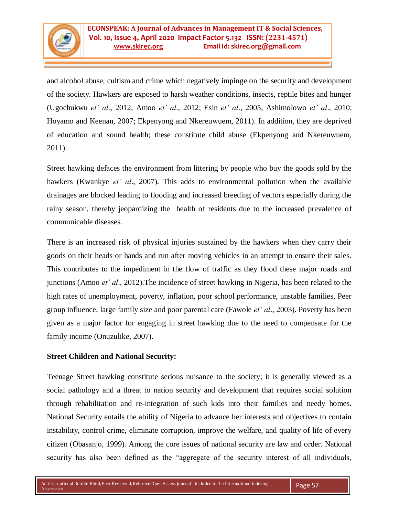

and alcohol abuse, cultism and crime which negatively impinge on the security and development of the society. Hawkers are exposed to harsh weather conditions, insects, reptile bites and hunger (Ugochukwu *et' al*., 2012; Amoo *et' al*., 2012; Esin *et' al*., 2005; Ashimolowo *et' al*., 2010; Hoyamo and Keenan, 2007; Ekpenyong and Nkereuwuem, 2011). In addition, they are deprived of education and sound health; these constitute child abuse (Ekpenyong and Nkereuwuem, 2011).

Street hawking defaces the environment from littering by people who buy the goods sold by the hawkers (Kwankye *et' al*., 2007). This adds to environmental pollution when the available drainages are blocked leading to flooding and increased breeding of vectors especially during the rainy season, thereby jeopardizing the health of residents due to the increased prevalence of communicable diseases.

There is an increased risk of physical injuries sustained by the hawkers when they carry their goods on their heads or hands and run after moving vehicles in an attempt to ensure their sales. This contributes to the impediment in the flow of traffic as they flood these major roads and junctions (Amoo *et' al*., 2012).The incidence of street hawking in Nigeria, has been related to the high rates of unemployment, poverty, inflation, poor school performance, unstable families, Peer group influence, large family size and poor parental care (Fawole *et' al*., 2003). Poverty has been given as a major factor for engaging in street hawking due to the need to compensate for the family income (Onuzulike, 2007).

# **Street Children and National Security:**

Teenage Street hawking constitute serious nuisance to the society; it is generally viewed as a social pathology and a threat to nation security and development that requires social solution through rehabilitation and re-integration of such kids into their families and needy homes. National Security entails the ability of Nigeria to advance her interests and objectives to contain instability, control crime, eliminate corruption, improve the welfare, and quality of life of every citizen (Obasanjo, 1999). Among the core issues of national security are law and order. National security has also been defined as the "aggregate of the security interest of all individuals,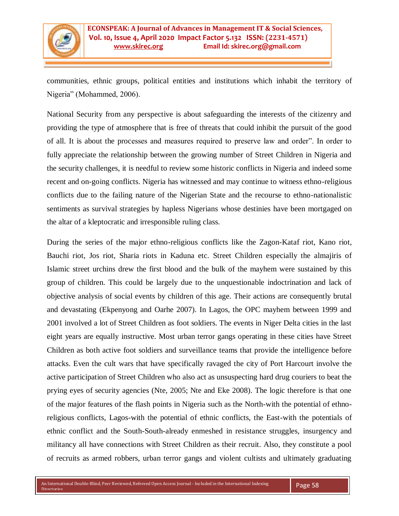

communities, ethnic groups, political entities and institutions which inhabit the territory of Nigeria" (Mohammed, 2006).

National Security from any perspective is about safeguarding the interests of the citizenry and providing the type of atmosphere that is free of threats that could inhibit the pursuit of the good of all. It is about the processes and measures required to preserve law and order". In order to fully appreciate the relationship between the growing number of Street Children in Nigeria and the security challenges, it is needful to review some historic conflicts in Nigeria and indeed some recent and on-going conflicts. Nigeria has witnessed and may continue to witness ethno-religious conflicts due to the failing nature of the Nigerian State and the recourse to ethno-nationalistic sentiments as survival strategies by hapless Nigerians whose destinies have been mortgaged on the altar of a kleptocratic and irresponsible ruling class.

During the series of the major ethno-religious conflicts like the Zagon-Kataf riot, Kano riot, Bauchi riot, Jos riot, Sharia riots in Kaduna etc. Street Children especially the almajiris of Islamic street urchins drew the first blood and the bulk of the mayhem were sustained by this group of children. This could be largely due to the unquestionable indoctrination and lack of objective analysis of social events by children of this age. Their actions are consequently brutal and devastating (Ekpenyong and Oarhe 2007). In Lagos, the OPC mayhem between 1999 and 2001 involved a lot of Street Children as foot soldiers. The events in Niger Delta cities in the last eight years are equally instructive. Most urban terror gangs operating in these cities have Street Children as both active foot soldiers and surveillance teams that provide the intelligence before attacks. Even the cult wars that have specifically ravaged the city of Port Harcourt involve the active participation of Street Children who also act as unsuspecting hard drug couriers to beat the prying eyes of security agencies (Nte, 2005; Nte and Eke 2008). The logic therefore is that one of the major features of the flash points in Nigeria such as the North-with the potential of ethnoreligious conflicts, Lagos-with the potential of ethnic conflicts, the East-with the potentials of ethnic conflict and the South-South-already enmeshed in resistance struggles, insurgency and militancy all have connections with Street Children as their recruit. Also, they constitute a pool of recruits as armed robbers, urban terror gangs and violent cultists and ultimately graduating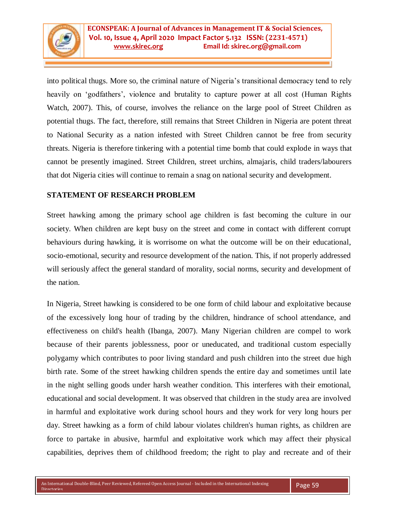

into political thugs. More so, the criminal nature of Nigeria"s transitional democracy tend to rely heavily on 'godfathers', violence and brutality to capture power at all cost (Human Rights Watch, 2007). This, of course, involves the reliance on the large pool of Street Children as potential thugs. The fact, therefore, still remains that Street Children in Nigeria are potent threat to National Security as a nation infested with Street Children cannot be free from security threats. Nigeria is therefore tinkering with a potential time bomb that could explode in ways that cannot be presently imagined. Street Children, street urchins, almajaris, child traders/labourers that dot Nigeria cities will continue to remain a snag on national security and development.

# **STATEMENT OF RESEARCH PROBLEM**

Street hawking among the primary school age children is fast becoming the culture in our society. When children are kept busy on the street and come in contact with different corrupt behaviours during hawking, it is worrisome on what the outcome will be on their educational, socio-emotional, security and resource development of the nation. This, if not properly addressed will seriously affect the general standard of morality, social norms, security and development of the nation.

In Nigeria, Street hawking is considered to be one form of child labour and exploitative because of the excessively long hour of trading by the children, hindrance of school attendance, and effectiveness on child's health (Ibanga, 2007). Many Nigerian children are compel to work because of their parents joblessness, poor or uneducated, and traditional custom especially polygamy which contributes to poor living standard and push children into the street due high birth rate. Some of the street hawking children spends the entire day and sometimes until late in the night selling goods under harsh weather condition. This interferes with their emotional, educational and social development. It was observed that children in the study area are involved in harmful and exploitative work during school hours and they work for very long hours per day. Street hawking as a form of child labour violates children's human rights, as children are force to partake in abusive, harmful and exploitative work which may affect their physical capabilities, deprives them of childhood freedom; the right to play and recreate and of their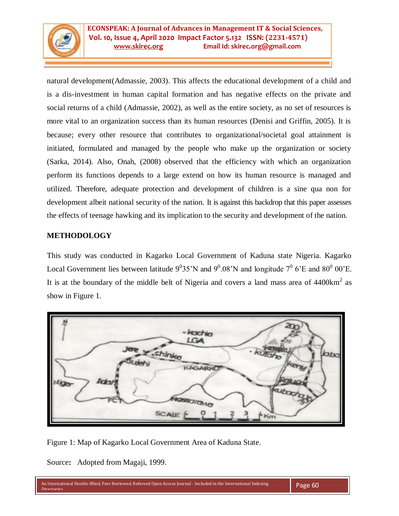

natural development(Admassie, 2003). This affects the educational development of a child and is a dis-investment in human capital formation and has negative effects on the private and social returns of a child (Admassie, 2002), as well as the entire society, as no set of resources is more vital to an organization success than its human resources (Denisi and Griffin, 2005). It is because; every other resource that contributes to organizational/societal goal attainment is initiated, formulated and managed by the people who make up the organization or society (Sarka, 2014). Also, Onah, (2008) observed that the efficiency with which an organization perform its functions depends to a large extend on how its human resource is managed and utilized. Therefore, adequate protection and development of children is a sine qua non for development albeit national security of the nation. It is against this backdrop that this paper assesses the effects of teenage hawking and its implication to the security and development of the nation.

# **METHODOLOGY**

This study was conducted in Kagarko Local Government of Kaduna state Nigeria. Kagarko Local Government lies between latitude  $9^035'N$  and  $9^0.08'N$  and longitude  $7^06'E$  and  $80^000'E$ . It is at the boundary of the middle belt of Nigeria and covers a land mass area of  $4400 \text{km}^2$  as show in Figure 1.



Figure 1: Map of Kagarko Local Government Area of Kaduna State.

Source**:** Adopted from Magaji, 1999.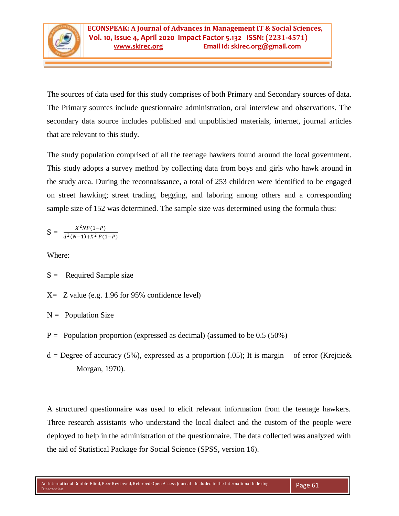

The sources of data used for this study comprises of both Primary and Secondary sources of data. The Primary sources include questionnaire administration, oral interview and observations. The secondary data source includes published and unpublished materials, internet, journal articles that are relevant to this study.

The study population comprised of all the teenage hawkers found around the local government. This study adopts a survey method by collecting data from boys and girls who hawk around in the study area. During the reconnaissance, a total of 253 children were identified to be engaged on street hawking; street trading, begging, and laboring among others and a corresponding sample size of 152 was determined. The sample size was determined using the formula thus:

$$
S = \frac{X^2 NP(1-P)}{d^2(N-1) + X^2 P(1-P)}
$$

Where:

- $S =$  Required Sample size
- $X=$  Z value (e.g. 1.96 for 95% confidence level)

 $N =$  Population Size

- $P =$  Population proportion (expressed as decimal) (assumed to be 0.5 (50%)
- $d =$ Degree of accuracy (5%), expressed as a proportion (.05); It is margin of error (Krejcie & Morgan, 1970).

A structured questionnaire was used to elicit relevant information from the teenage hawkers. Three research assistants who understand the local dialect and the custom of the people were deployed to help in the administration of the questionnaire. The data collected was analyzed with the aid of Statistical Package for Social Science (SPSS, version 16).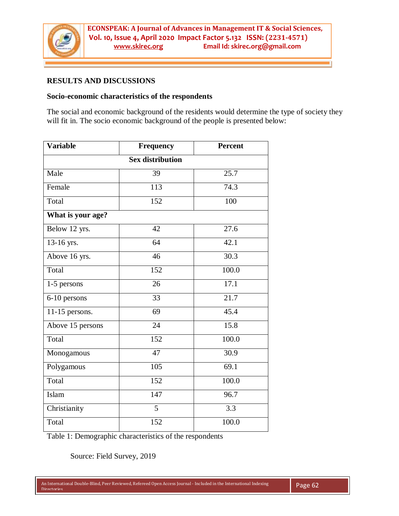

# **RESULTS AND DISCUSSIONS**

#### **Socio-economic characteristics of the respondents**

The social and economic background of the residents would determine the type of society they will fit in. The socio economic background of the people is presented below:

| <b>Variable</b>         | Frequency | <b>Percent</b> |  |  |  |  |  |
|-------------------------|-----------|----------------|--|--|--|--|--|
| <b>Sex distribution</b> |           |                |  |  |  |  |  |
| Male                    | 39        | 25.7           |  |  |  |  |  |
| Female                  | 113       | 74.3           |  |  |  |  |  |
| Total                   | 152       | 100            |  |  |  |  |  |
| What is your age?       |           |                |  |  |  |  |  |
| Below 12 yrs.           | 42        | 27.6           |  |  |  |  |  |
| 13-16 yrs.              | 64        | 42.1           |  |  |  |  |  |
| Above 16 yrs.           | 46        | 30.3           |  |  |  |  |  |
| Total                   | 152       | 100.0          |  |  |  |  |  |
| 1-5 persons             | 26        | 17.1           |  |  |  |  |  |
| 6-10 persons            | 33        | 21.7           |  |  |  |  |  |
| $11-15$ persons.        | 69        | 45.4           |  |  |  |  |  |
| Above 15 persons        | 24        | 15.8           |  |  |  |  |  |
| Total                   | 152       | 100.0          |  |  |  |  |  |
| Monogamous              | 47        | 30.9           |  |  |  |  |  |
| Polygamous              | 105       | 69.1           |  |  |  |  |  |
| Total                   | 152       | 100.0          |  |  |  |  |  |
| Islam                   | 147       | 96.7           |  |  |  |  |  |
| Christianity            | 5         | 3.3            |  |  |  |  |  |
| Total                   | 152       | 100.0          |  |  |  |  |  |

Table 1: Demographic characteristics of the respondents

Source: Field Survey, 2019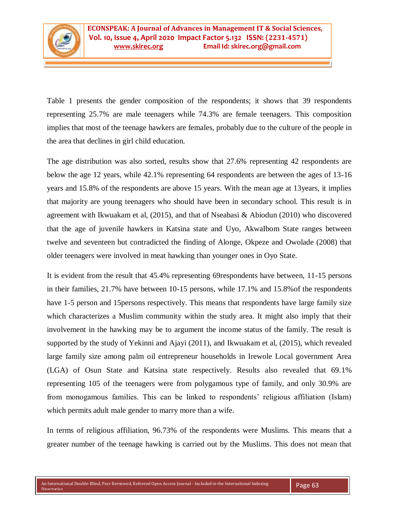

Table 1 presents the gender composition of the respondents; it shows that 39 respondents representing 25.7% are male teenagers while 74.3% are female teenagers. This composition implies that most of the teenage hawkers are females, probably due to the culture of the people in the area that declines in girl child education.

The age distribution was also sorted, results show that 27.6% representing 42 respondents are below the age 12 years, while 42.1% representing 64 respondents are between the ages of 13-16 years and 15.8% of the respondents are above 15 years. With the mean age at 13years, it implies that majority are young teenagers who should have been in secondary school. This result is in agreement with Ikwuakam et al, (2015), and that of Nseabasi & Abiodun (2010) who discovered that the age of juvenile hawkers in Katsina state and Uyo, AkwaIbom State ranges between twelve and seventeen but contradicted the finding of Alonge, Okpeze and Owolade (2008) that older teenagers were involved in meat hawking than younger ones in Oyo State.

It is evident from the result that 45.4% representing 69respondents have between, 11-15 persons in their families, 21.7% have between 10-15 persons, while 17.1% and 15.8%of the respondents have 1-5 person and 15persons respectively. This means that respondents have large family size which characterizes a Muslim community within the study area. It might also imply that their involvement in the hawking may be to argument the income status of the family. The result is supported by the study of Yekinni and Ajayi (2011), and Ikwuakam et al, (2015), which revealed large family size among palm oil entrepreneur households in Irewole Local government Area (LGA) of Osun State and Katsina state respectively. Results also revealed that 69.1% representing 105 of the teenagers were from polygamous type of family, and only 30.9% are from monogamous families. This can be linked to respondents" religious affiliation (Islam) which permits adult male gender to marry more than a wife.

In terms of religious affiliation, 96.73% of the respondents were Muslims. This means that a greater number of the teenage hawking is carried out by the Muslims. This does not mean that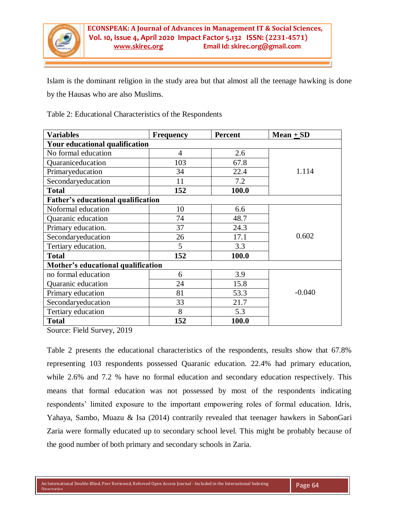

Islam is the dominant religion in the study area but that almost all the teenage hawking is done by the Hausas who are also Muslims.

Table 2: Educational Characteristics of the Respondents

| <b>Variables</b>                          | <b>Frequency</b> | <b>Percent</b> | $Mean + SD$ |  |  |  |  |  |
|-------------------------------------------|------------------|----------------|-------------|--|--|--|--|--|
| Your educational qualification            |                  |                |             |  |  |  |  |  |
| No formal education                       | 4                | 2.6            |             |  |  |  |  |  |
| Quaraniceducation                         | 103              | 67.8           |             |  |  |  |  |  |
| Primaryeducation                          | 34               | 22.4           | 1.114       |  |  |  |  |  |
| Secondaryeducation                        | 11               | 7.2            |             |  |  |  |  |  |
| <b>Total</b>                              | 152              | 100.0          |             |  |  |  |  |  |
| <b>Father's educational qualification</b> |                  |                |             |  |  |  |  |  |
| Noformal education                        | 10               | 6.6            |             |  |  |  |  |  |
| Quaranic education                        | 74               | 48.7           |             |  |  |  |  |  |
| Primary education.                        | 37               | 24.3           |             |  |  |  |  |  |
| Secondaryeducation                        | 26               | 17.1           | 0.602       |  |  |  |  |  |
| Tertiary education.                       | 5                | 3.3            |             |  |  |  |  |  |
| <b>Total</b>                              | 152              | 100.0          |             |  |  |  |  |  |
| Mother's educational qualification        |                  |                |             |  |  |  |  |  |
| no formal education                       | 6                | 3.9            |             |  |  |  |  |  |
| Quaranic education                        | 24               | 15.8           |             |  |  |  |  |  |
| Primary education                         | 81               | 53.3           | $-0.040$    |  |  |  |  |  |
| Secondaryeducation                        | 33               | 21.7           |             |  |  |  |  |  |
| Tertiary education                        | 8                | 5.3            |             |  |  |  |  |  |
| <b>Total</b>                              | 152              | 100.0          |             |  |  |  |  |  |

Source: Field Survey, 2019

Table 2 presents the educational characteristics of the respondents, results show that 67.8% representing 103 respondents possessed Quaranic education. 22.4% had primary education, while 2.6% and 7.2 % have no formal education and secondary education respectively. This means that formal education was not possessed by most of the respondents indicating respondents' limited exposure to the important empowering roles of formal education. Idris, Yahaya, Sambo, Muazu & Isa (2014) contrarily revealed that teenager hawkers in SabonGari Zaria were formally educated up to secondary school level. This might be probably because of the good number of both primary and secondary schools in Zaria.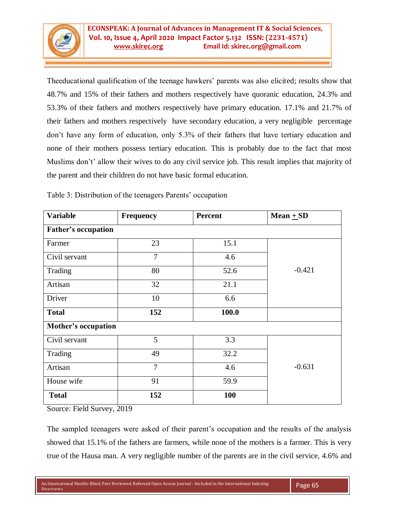

Theeducational qualification of the teenage hawkers" parents was also elicited; results show that 48.7% and 15% of their fathers and mothers respectively have quoranic education, 24.3% and 53.3% of their fathers and mothers respectively have primary education. 17.1% and 21.7% of their fathers and mothers respectively have secondary education, a very negligible percentage don"t have any form of education, only 5.3% of their fathers that have tertiary education and none of their mothers possess tertiary education. This is probably due to the fact that most Muslims don't' allow their wives to do any civil service job. This result implies that majority of the parent and their children do not have basic formal education.

| <b>Variable</b>            | Frequency      | <b>Percent</b> | Mean $+$ SD |  |  |  |  |  |
|----------------------------|----------------|----------------|-------------|--|--|--|--|--|
| <b>Father's occupation</b> |                |                |             |  |  |  |  |  |
| Farmer                     | 23             | 15.1           |             |  |  |  |  |  |
| Civil servant              | $\overline{7}$ | 4.6            |             |  |  |  |  |  |
| Trading                    | 80             | 52.6           | $-0.421$    |  |  |  |  |  |
| Artisan                    | 32             | 21.1           |             |  |  |  |  |  |
| Driver                     | 10             | 6.6            |             |  |  |  |  |  |
| <b>Total</b>               | 152            | 100.0          |             |  |  |  |  |  |
| <b>Mother's occupation</b> |                |                |             |  |  |  |  |  |
| Civil servant              | 5              | 3.3            |             |  |  |  |  |  |
| Trading                    | 49             | 32.2           |             |  |  |  |  |  |
| Artisan                    | $\overline{7}$ | 4.6            | $-0.631$    |  |  |  |  |  |
| House wife                 | 91             | 59.9           |             |  |  |  |  |  |
| <b>Total</b>               | 152            | <b>100</b>     |             |  |  |  |  |  |

Table 3: Distribution of the teenagers Parents' occupation

Source: Field Survey, 2019

The sampled teenagers were asked of their parent's occupation and the results of the analysis showed that 15.1% of the fathers are farmers, while none of the mothers is a farmer. This is very true of the Hausa man. A very negligible number of the parents are in the civil service, 4.6% and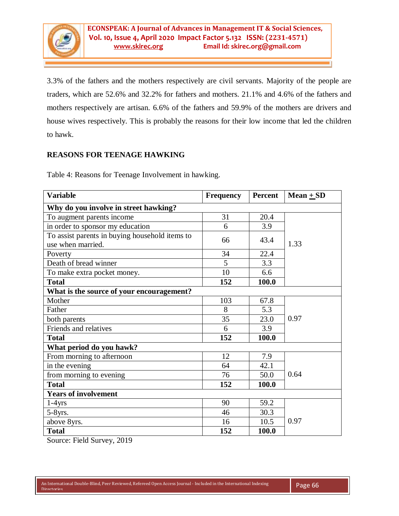

3.3% of the fathers and the mothers respectively are civil servants. Majority of the people are traders, which are 52.6% and 32.2% for fathers and mothers. 21.1% and 4.6% of the fathers and mothers respectively are artisan. 6.6% of the fathers and 59.9% of the mothers are drivers and house wives respectively. This is probably the reasons for their low income that led the children to hawk.

# **REASONS FOR TEENAGE HAWKING**

Table 4: Reasons for Teenage Involvement in hawking.

| <b>Variable</b>                                | <b>Frequency</b> | Percent | Mean $+$ SD |  |  |  |  |  |
|------------------------------------------------|------------------|---------|-------------|--|--|--|--|--|
| Why do you involve in street hawking?          |                  |         |             |  |  |  |  |  |
| To augment parents income                      | 31               | 20.4    |             |  |  |  |  |  |
| in order to sponsor my education               | 6                | 3.9     |             |  |  |  |  |  |
| To assist parents in buying household items to | 66               | 43.4    | 1.33        |  |  |  |  |  |
| use when married.                              |                  |         |             |  |  |  |  |  |
| Poverty                                        | 34               | 22.4    |             |  |  |  |  |  |
| Death of bread winner                          | 5                | 3.3     |             |  |  |  |  |  |
| To make extra pocket money.                    | 10               | 6.6     |             |  |  |  |  |  |
| <b>Total</b>                                   | 152              | 100.0   |             |  |  |  |  |  |
| What is the source of your encouragement?      |                  |         |             |  |  |  |  |  |
| Mother                                         | 103              | 67.8    |             |  |  |  |  |  |
| Father                                         | 8                | 5.3     |             |  |  |  |  |  |
| both parents                                   | 35               | 23.0    | 0.97        |  |  |  |  |  |
| Friends and relatives                          | 6                | 3.9     |             |  |  |  |  |  |
| <b>Total</b>                                   | 152              | 100.0   |             |  |  |  |  |  |
| What period do you hawk?                       |                  |         |             |  |  |  |  |  |
| From morning to afternoon                      | 12               | 7.9     |             |  |  |  |  |  |
| in the evening                                 | 64               | 42.1    |             |  |  |  |  |  |
| from morning to evening                        | 76               | 50.0    | 0.64        |  |  |  |  |  |
| <b>Total</b>                                   | 152              | 100.0   |             |  |  |  |  |  |
| <b>Years of involvement</b>                    |                  |         |             |  |  |  |  |  |
| $1-4$ yrs                                      | 90               | 59.2    |             |  |  |  |  |  |
| $5-8$ yrs.                                     | 46               | 30.3    |             |  |  |  |  |  |
| above 8yrs.                                    | 16               | 10.5    | 0.97        |  |  |  |  |  |
| <b>Total</b>                                   | 152              | 100.0   |             |  |  |  |  |  |

Source: Field Survey, 2019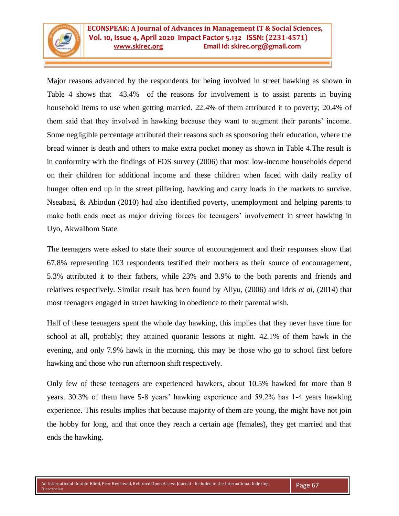

Major reasons advanced by the respondents for being involved in street hawking as shown in Table 4 shows that 43.4% of the reasons for involvement is to assist parents in buying household items to use when getting married. 22.4% of them attributed it to poverty; 20.4% of them said that they involved in hawking because they want to augment their parents" income. Some negligible percentage attributed their reasons such as sponsoring their education, where the bread winner is death and others to make extra pocket money as shown in Table 4.The result is in conformity with the findings of FOS survey (2006) that most low-income households depend on their children for additional income and these children when faced with daily reality of hunger often end up in the street pilfering, hawking and carry loads in the markets to survive. Nseabasi, & Abiodun (2010) had also identified poverty, unemployment and helping parents to make both ends meet as major driving forces for teenagers' involvement in street hawking in Uyo, AkwaIbom State.

The teenagers were asked to state their source of encouragement and their responses show that 67.8% representing 103 respondents testified their mothers as their source of encouragement, 5.3% attributed it to their fathers, while 23% and 3.9% to the both parents and friends and relatives respectively. Similar result has been found by Aliyu, (2006) and Idris *et al,* (2014) that most teenagers engaged in street hawking in obedience to their parental wish.

Half of these teenagers spent the whole day hawking, this implies that they never have time for school at all, probably; they attained quoranic lessons at night. 42.1% of them hawk in the evening, and only 7.9% hawk in the morning, this may be those who go to school first before hawking and those who run afternoon shift respectively.

Only few of these teenagers are experienced hawkers, about 10.5% hawked for more than 8 years. 30.3% of them have 5-8 years" hawking experience and 59.2% has 1-4 years hawking experience. This results implies that because majority of them are young, the might have not join the hobby for long, and that once they reach a certain age (females), they get married and that ends the hawking.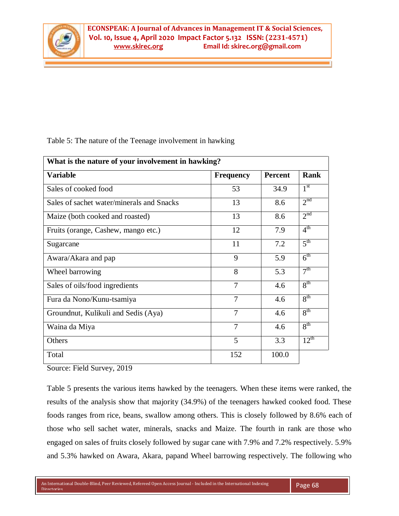

Table 5: The nature of the Teenage involvement in hawking

| What is the nature of your involvement in hawking? |                  |                |                  |  |  |  |
|----------------------------------------------------|------------------|----------------|------------------|--|--|--|
| <b>Variable</b>                                    | <b>Frequency</b> | <b>Percent</b> | Rank             |  |  |  |
| Sales of cooked food                               | 53               | 34.9           | 1 <sup>st</sup>  |  |  |  |
| Sales of sachet water/minerals and Snacks          | 13               | 8.6            | 2 <sup>nd</sup>  |  |  |  |
| Maize (both cooked and roasted)                    | 13               | 8.6            | 2 <sup>nd</sup>  |  |  |  |
| Fruits (orange, Cashew, mango etc.)                | 12               | 7.9            | $4^{\text{th}}$  |  |  |  |
| Sugarcane                                          | 11               | 7.2            | 5 <sup>th</sup>  |  |  |  |
| Awara/Akara and pap                                | 9                | 5.9            | $6^{\text{th}}$  |  |  |  |
| Wheel barrowing                                    | 8                | 5.3            | 7 <sup>th</sup>  |  |  |  |
| Sales of oils/food ingredients                     | $\overline{7}$   | 4.6            | 8 <sup>th</sup>  |  |  |  |
| Fura da Nono/Kunu-tsamiya                          | $\overline{7}$   | 4.6            | 8 <sup>th</sup>  |  |  |  |
| Groundnut, Kulikuli and Sedis (Aya)                | $\overline{7}$   | 4.6            | 8 <sup>th</sup>  |  |  |  |
| Waina da Miya                                      | $\overline{7}$   | 4.6            | 8 <sup>th</sup>  |  |  |  |
| Others                                             | 5                | 3.3            | $12^{\text{th}}$ |  |  |  |
| Total                                              | 152              | 100.0          |                  |  |  |  |

Source: Field Survey, 2019

Table 5 presents the various items hawked by the teenagers. When these items were ranked, the results of the analysis show that majority (34.9%) of the teenagers hawked cooked food. These foods ranges from rice, beans, swallow among others. This is closely followed by 8.6% each of those who sell sachet water, minerals, snacks and Maize. The fourth in rank are those who engaged on sales of fruits closely followed by sugar cane with 7.9% and 7.2% respectively. 5.9% and 5.3% hawked on Awara, Akara, papand Wheel barrowing respectively. The following who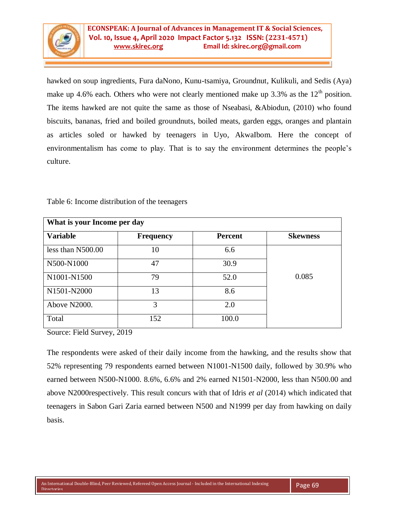

hawked on soup ingredients, Fura daNono, Kunu-tsamiya, Groundnut, Kulikuli, and Sedis (Aya) make up 4.6% each. Others who were not clearly mentioned make up 3.3% as the  $12<sup>th</sup>$  position. The items hawked are not quite the same as those of Nseabasi, &Abiodun, (2010) who found biscuits, bananas, fried and boiled groundnuts, boiled meats, garden eggs, oranges and plantain as articles soled or hawked by teenagers in Uyo, AkwaIbom. Here the concept of environmentalism has come to play. That is to say the environment determines the people"s culture.

| What is your Income per day |                  |                |                 |  |  |  |
|-----------------------------|------------------|----------------|-----------------|--|--|--|
| <b>Variable</b>             | <b>Frequency</b> | <b>Percent</b> | <b>Skewness</b> |  |  |  |
| less than N500.00           | 10               | 6.6            |                 |  |  |  |
| N500-N1000                  | 47               | 30.9           |                 |  |  |  |
| N1001-N1500                 | 79               | 52.0           | 0.085           |  |  |  |
| N1501-N2000                 | 13               | 8.6            |                 |  |  |  |
| Above N2000.                | 3                | 2.0            |                 |  |  |  |
| Total                       | 152              | 100.0          |                 |  |  |  |

Table 6: Income distribution of the teenagers

Source: Field Survey, 2019

The respondents were asked of their daily income from the hawking, and the results show that 52% representing 79 respondents earned between N1001-N1500 daily, followed by 30.9% who earned between N500-N1000. 8.6%, 6.6% and 2% earned N1501-N2000, less than N500.00 and above N2000respectively. This result concurs with that of Idris *et al* (2014) which indicated that teenagers in Sabon Gari Zaria earned between N500 and N1999 per day from hawking on daily basis.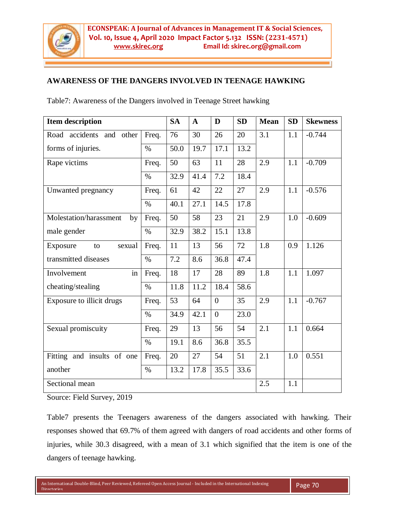

# **AWARENESS OF THE DANGERS INVOLVED IN TEENAGE HAWKING**

Table7: Awareness of the Dangers involved in Teenage Street hawking

| <b>Item description</b>      |       | <b>SA</b> | $\mathbf{A}$ | D              | <b>SD</b> | <b>Mean</b> | <b>SD</b> | <b>Skewness</b> |
|------------------------------|-------|-----------|--------------|----------------|-----------|-------------|-----------|-----------------|
| Road accidents and other     | Freq. | 76        | 30           | 26             | 20        | 3.1         | 1.1       | $-0.744$        |
| forms of injuries.           | $\%$  | 50.0      | 19.7         | 17.1           | 13.2      |             |           |                 |
| Rape victims                 | Freq. | 50        | 63           | 11             | 28        | 2.9         | 1.1       | $-0.709$        |
|                              | $\%$  | 32.9      | 41.4         | 7.2            | 18.4      |             |           |                 |
| Unwanted pregnancy           | Freq. | 61        | 42           | 22             | 27        | 2.9         | 1.1       | $-0.576$        |
|                              | $\%$  | 40.1      | 27.1         | 14.5           | 17.8      |             |           |                 |
| Molestation/harassment<br>by | Freq. | 50        | 58           | 23             | 21        | 2.9         | 1.0       | $-0.609$        |
| male gender                  | $\%$  | 32.9      | 38.2         | 15.1           | 13.8      |             |           |                 |
| Exposure<br>sexual<br>to     | Freq. | 11        | 13           | 56             | 72        | 1.8         | 0.9       | 1.126           |
| transmitted diseases         | $\%$  | 7.2       | 8.6          | 36.8           | 47.4      |             |           |                 |
| in<br>Involvement            | Freq. | 18        | 17           | 28             | 89        | 1.8         | 1.1       | 1.097           |
| cheating/stealing            | $\%$  | 11.8      | 11.2         | 18.4           | 58.6      |             |           |                 |
| Exposure to illicit drugs    | Freq. | 53        | 64           | $\overline{0}$ | 35        | 2.9         | 1.1       | $-0.767$        |
|                              | $\%$  | 34.9      | 42.1         | $\overline{0}$ | 23.0      |             |           |                 |
| Sexual promiscuity           | Freq. | 29        | 13           | 56             | 54        | 2.1         | 1.1       | 0.664           |
|                              | $\%$  | 19.1      | 8.6          | 36.8           | 35.5      |             |           |                 |
| Fitting and insults of one   | Freq. | 20        | 27           | 54             | 51        | 2.1         | 1.0       | 0.551           |
| another                      | $\%$  | 13.2      | 17.8         | 35.5           | 33.6      |             |           |                 |
| Sectional mean               |       |           |              |                |           | 2.5         | 1.1       |                 |

Source: Field Survey, 2019

Table7 presents the Teenagers awareness of the dangers associated with hawking. Their responses showed that 69.7% of them agreed with dangers of road accidents and other forms of injuries, while 30.3 disagreed, with a mean of 3.1 which signified that the item is one of the dangers of teenage hawking.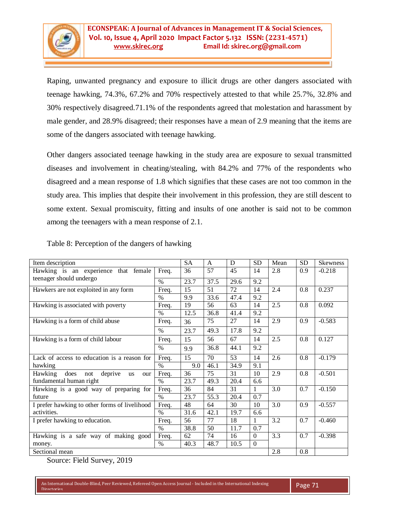Raping, unwanted pregnancy and exposure to illicit drugs are other dangers associated with teenage hawking, 74.3%, 67.2% and 70% respectively attested to that while 25.7%, 32.8% and 30% respectively disagreed.71.1% of the respondents agreed that molestation and harassment by male gender, and 28.9% disagreed; their responses have a mean of 2.9 meaning that the items are some of the dangers associated with teenage hawking.

Other dangers associated teenage hawking in the study area are exposure to sexual transmitted diseases and involvement in cheating/stealing, with 84.2% and 77% of the respondents who disagreed and a mean response of 1.8 which signifies that these cases are not too common in the study area. This implies that despite their involvement in this profession, they are still descent to some extent. Sexual promiscuity, fitting and insults of one another is said not to be common among the teenagers with a mean response of 2.1.

| Item description                               |       |      | A    | D    | <b>SD</b> | Mean | <b>SD</b> | <b>Skewness</b> |
|------------------------------------------------|-------|------|------|------|-----------|------|-----------|-----------------|
| Hawking is an experience that<br>female        | Freq. | 36   | 57   | 45   | 14        | 2.8  | 0.9       | $-0.218$        |
| teenager should undergo                        | $\%$  | 23.7 | 37.5 | 29.6 | 9.2       |      |           |                 |
| Hawkers are not exploited in any form          | Freq. | 15   | 51   | 72   | 14        | 2.4  | 0.8       | 0.237           |
|                                                | $\%$  | 9.9  | 33.6 | 47.4 | 9.2       |      |           |                 |
| Hawking is associated with poverty             | Freq. | 19   | 56   | 63   | 14        | 2.5  | 0.8       | 0.092           |
|                                                | $\%$  | 12.5 | 36.8 | 41.4 | 9.2       |      |           |                 |
| Hawking is a form of child abuse               | Freq. | 36   | 75   | 27   | 14        | 2.9  | 0.9       | $-0.583$        |
|                                                | $\%$  | 23.7 | 49.3 | 17.8 | 9.2       |      |           |                 |
| Hawking is a form of child labour              | Freq. | 15   | 56   | 67   | 14        | 2.5  | 0.8       | 0.127           |
|                                                | $\%$  | 9.9  | 36.8 | 44.1 | 9.2       |      |           |                 |
| Lack of access to education is a reason for    | Freq. | 15   | 70   | 53   | 14        | 2.6  | 0.8       | $-0.179$        |
| hawking                                        | $\%$  | 9.0  | 46.1 | 34.9 | 9.1       |      |           |                 |
| Hawking<br>does<br>deprive<br>not<br>us<br>our | Freq. | 36   | 75   | 31   | 10        | 2.9  | 0.8       | $-0.501$        |
| fundamental human right                        | $\%$  | 23.7 | 49.3 | 20.4 | 6.6       |      |           |                 |
| Hawking is a good way of preparing for         | Freq. | 36   | 84   | 31   | 1         | 3.0  | 0.7       | $-0.150$        |
| future                                         | $\%$  | 23.7 | 55.3 | 20.4 | 0.7       |      |           |                 |
| I prefer hawking to other forms of livelihood  | Freq. | 48   | 64   | 30   | 10        | 3.0  | 0.9       | $-0.557$        |
| activities.                                    | $\%$  | 31.6 | 42.1 | 19.7 | 6.6       |      |           |                 |
| I prefer hawking to education.                 | Freq. | 56   | 77   | 18   | 1         | 3.2  | 0.7       | $-0.460$        |
|                                                | $\%$  | 38.8 | 50   | 11.7 | 0.7       |      |           |                 |
| Hawking is a safe way of making good           | Freq. | 62   | 74   | 16   | $\Omega$  | 3.3  | 0.7       | $-0.398$        |
| money.                                         | $\%$  | 40.3 | 48.7 | 10.5 | $\Omega$  |      |           |                 |
| Sectional mean                                 |       |      |      |      | 2.8       | 0.8  |           |                 |

Table 8: Perception of the dangers of hawking

Source: Field Survey, 2019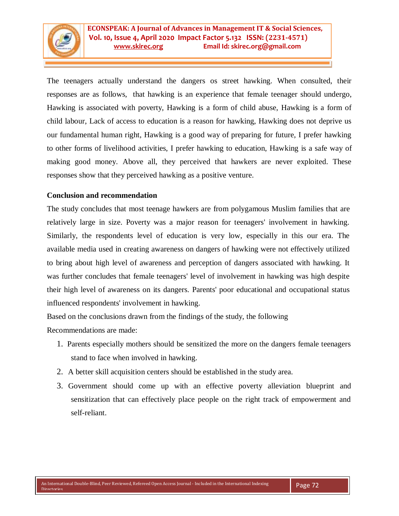

The teenagers actually understand the dangers os street hawking. When consulted, their responses are as follows, that hawking is an experience that female teenager should undergo, Hawking is associated with poverty, Hawking is a form of child abuse, Hawking is a form of child labour, Lack of access to education is a reason for hawking, Hawking does not deprive us our fundamental human right, Hawking is a good way of preparing for future, I prefer hawking to other forms of livelihood activities, I prefer hawking to education, Hawking is a safe way of making good money. Above all, they perceived that hawkers are never exploited. These responses show that they perceived hawking as a positive venture.

# **Conclusion and recommendation**

The study concludes that most teenage hawkers are from polygamous Muslim families that are relatively large in size. Poverty was a major reason for teenagers' involvement in hawking. Similarly, the respondents level of education is very low, especially in this our era. The available media used in creating awareness on dangers of hawking were not effectively utilized to bring about high level of awareness and perception of dangers associated with hawking. It was further concludes that female teenagers' level of involvement in hawking was high despite their high level of awareness on its dangers. Parents' poor educational and occupational status influenced respondents' involvement in hawking.

Based on the conclusions drawn from the findings of the study, the following Recommendations are made:

- 1. Parents especially mothers should be sensitized the more on the dangers female teenagers stand to face when involved in hawking.
- 2. A better skill acquisition centers should be established in the study area.
- 3. Government should come up with an effective poverty alleviation blueprint and sensitization that can effectively place people on the right track of empowerment and self-reliant.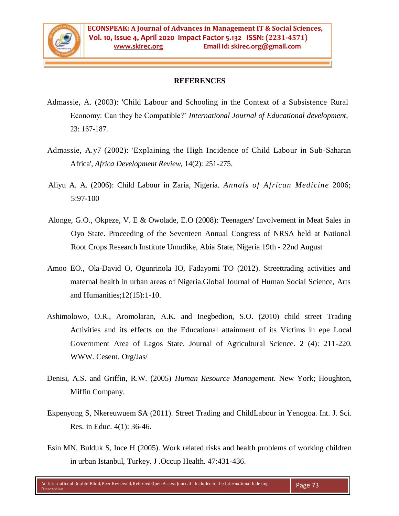

## **REFERENCES**

- Admassie, A. (2003): 'Child Labour and Schooling in the Context of a Subsistence Rural Economy: Can they be Compatible?" *International Journal of Educational development,*  23: 167-187.
- Admassie, A.y7 (2002): 'Explaining the High Incidence of Child Labour in Sub-Saharan Africa', *Africa Development Review,* 14(2): 251-275.
- Aliyu A. A. (2006): Child Labour in Zaria, Nigeria. *Annals of African Medicine* 2006; 5:97-100
- Alonge, G.O., Okpeze, V. E & Owolade, E.O (2008): Teenagers' Involvement in Meat Sales in Oyo State. Proceeding of the Seventeen Annual Congress of NRSA held at National Root Crops Research Institute Umudike, Abia State, Nigeria 19th - 22nd August
- Amoo EO., Ola-David O, Ogunrinola IO, Fadayomi TO (2012). Streettrading activities and maternal health in urban areas of Nigeria.Global Journal of Human Social Science, Arts and Humanities;12(15):1-10.
- Ashimolowo, O.R., Aromolaran, A.K. and Inegbedion, S.O. (2010) child street Trading Activities and its effects on the Educational attainment of its Victims in epe Local Government Area of Lagos State. Journal of Agricultural Science. 2 (4): 211-220. WWW. Cesent. Org/Jas/
- Denisi, A.S. and Griffin, R.W. (2005) *Human Resource Management*. New York; Houghton, Miffin Company.
- Ekpenyong S, Nkereuwuem SA (2011). Street Trading and ChildLabour in Yenogoa. Int. J. Sci. Res. in Educ. 4(1): 36-46.
- Esin MN, Bulduk S, Ince H (2005). Work related risks and health problems of working children in urban Istanbul, Turkey. J .Occup Health. 47:431-436.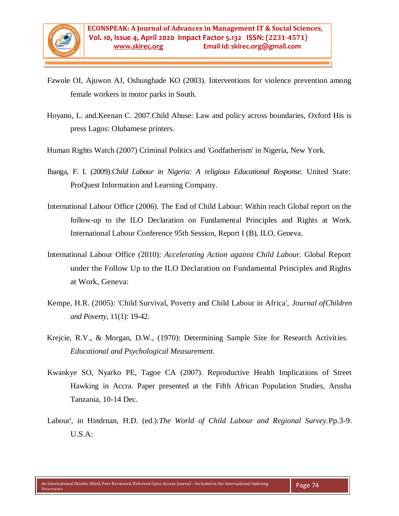- Fawole OI, Ajuwon AJ, Oshungbade KO (2003). Interventions for violence prevention among female workers in motor parks in South.
- Hoyano, L. and.Keenan C. 2007.Child Abuse: Law and policy across boundaries, Oxford His is press Lagos: Olubamese printers.
- Human Rights Watch (2007) Criminal Politics and 'Godfatherism' in Nigeria, New York.
- Ibanga, F. I. (2009):*Child Labour in Nigeria: A religious Educational Response.* United State: ProQuest Information and Learning Company.
- International Labour Office (2006). The End of Child Labour: Within reach Global report on the follow-up to the ILO Declaration on Fundamental Principles and Rights at Work. International Labour Conference 95th Session, Report I (B), ILO, Geneva.
- International Labour Office (2010): *Accelerating Action against Child Labour.* Global Report under the Follow Up to the ILO Declaration on Fundamental Principles and Rights at Work, Geneva:
- Kempe, H.R. (2005): 'Child Survival, Poverty and Child Labour in Africa', *Journal ofChildren and Poverty,* 11(1): 19-42.
- Krejcie, R.V., & Morgan, D.W., (1970): Determining Sample Size for Research Activities. *Educational and Psychological Measurement.*
- Kwankye SO, Nyarko PE, Tagoe CA (2007). Reproductive Health Implications of Street Hawking in Accra. Paper presented at the Fifth African Population Studies, Arusha Tanzania, 10-14 Dec.
- Labour', in Hindrnan, H.D. (ed.):*The World of Child Labour and Regional Survey.*Pp.3-9. U.S.A: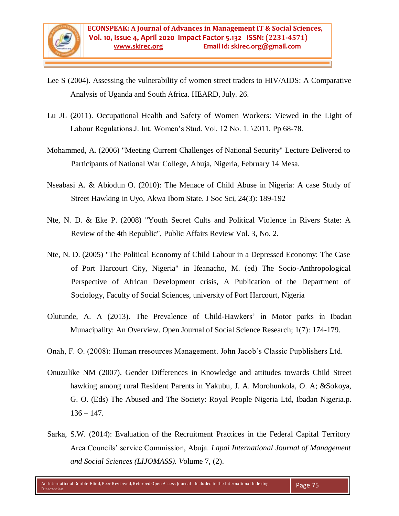- Lee S (2004). Assessing the vulnerability of women street traders to HIV/AIDS: A Comparative Analysis of Uganda and South Africa. HEARD, July. 26.
- Lu JL (2011). Occupational Health and Safety of Women Workers: Viewed in the Light of Labour Regulations.J. Int. Women's Stud. Vol. 12 No. 1. \2011. Pp 68-78.
- Mohammed, A. (2006) "Meeting Current Challenges of National Security" Lecture Delivered to Participants of National War College, Abuja, Nigeria, February 14 Mesa.
- Nseabasi A. & Abiodun O. (2010): The Menace of Child Abuse in Nigeria: A case Study of Street Hawking in Uyo, Akwa Ibom State. J Soc Sci, 24(3): 189-192
- Nte, N. D. & Eke P. (2008) "Youth Secret Cults and Political Violence in Rivers State: A Review of the 4th Republic", Public Affairs Review Vol. 3, No. 2.
- Nte, N. D. (2005) "The Political Economy of Child Labour in a Depressed Economy: The Case of Port Harcourt City, Nigeria" in Ifeanacho, M. (ed) The Socio-Anthropological Perspective of African Development crisis, A Publication of the Department of Sociology, Faculty of Social Sciences, university of Port Harcourt, Nigeria
- Olutunde, A. A (2013). The Prevalence of Child-Hawkers" in Motor parks in Ibadan Munacipality: An Overview. Open Journal of Social Science Research; 1(7): 174-179.
- Onah, F. O. (2008): Human rresources Management. John Jacob"s Classic Pupblishers Ltd.
- Onuzulike NM (2007). Gender Differences in Knowledge and attitudes towards Child Street hawking among rural Resident Parents in Yakubu, J. A. Morohunkola, O. A; &Sokoya, G. O. (Eds) The Abused and The Society: Royal People Nigeria Ltd, Ibadan Nigeria.p.  $136 - 147$ .
- Sarka, S.W. (2014): Evaluation of the Recruitment Practices in the Federal Capital Territory Area Councils" service Commission, Abuja. *Lapai International Journal of Management and Social Sciences (LIJOMASS). V*olume 7, (2).